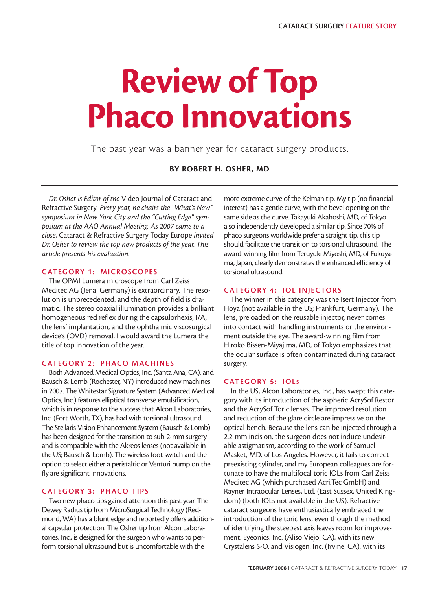# **Review of Top Phaco Innovations**

The past year was a banner year for cataract surgery products.

**BY ROBERT H. OSHER, MD**

*Dr. Osher is Editor of the* Video Journal of Cataract and Refractive Surgery*. Every year, he chairs the "What's New" symposium in New York City and the "Cutting Edge" symposium at the AAO Annual Meeting. As 2007 came to a close,* Cataract & Refractive Surgery Today Europe *invited Dr. Osher to review the top new products of the year. This article presents his evaluation.* 

# **CATEGORY 1: MICROSCOPES**

The OPMI Lumera microscope from Carl Zeiss Meditec AG (Jena, Germany) is extraordinary. The resolution is unprecedented, and the depth of field is dramatic. The stereo coaxial illumination provides a brilliant homogeneous red reflex during the capsulorhexis, I/A, the lens' implantation, and the ophthalmic viscosurgical device's (OVD) removal. I would award the Lumera the title of top innovation of the year.

# **CATEGORY 2: PHACO MACHINES**

Both Advanced Medical Optics, Inc. (Santa Ana, CA), and Bausch & Lomb (Rochester, NY) introduced new machines in 2007. The Whitestar Signature System (Advanced Medical Optics, Inc.) features elliptical transverse emulsification, which is in response to the success that Alcon Laboratories, Inc. (Fort Worth, TX), has had with torsional ultrasound. The Stellaris Vision Enhancement System (Bausch & Lomb) has been designed for the transition to sub-2-mm surgery and is compatible with the Akreos lenses (not available in the US; Bausch & Lomb). The wireless foot switch and the option to select either a peristaltic or Venturi pump on the fly are significant innovations.

# **CATEGORY 3: PHACO TIPS**

Two new phaco tips gained attention this past year. The Dewey Radius tip from MicroSurgical Technology (Redmond, WA) has a blunt edge and reportedly offers additional capsular protection. The Osher tip from Alcon Laboratories, Inc., is designed for the surgeon who wants to perform torsional ultrasound but is uncomfortable with the

more extreme curve of the Kelman tip. My tip (no financial interest) has a gentle curve, with the bevel opening on the same side as the curve. Takayuki Akahoshi, MD, of Tokyo also independently developed a similar tip. Since 70% of phaco surgeons worldwide prefer a straight tip, this tip should facilitate the transition to torsional ultrasound. The award-winning film from Teruyuki Miyoshi, MD, of Fukuyama, Japan, clearly demonstrates the enhanced efficiency of torsional ultrasound.

## **CATEGORY 4: IOL INJECTORS**

The winner in this category was the Isert Injector from Hoya (not available in the US; Frankfurt, Germany). The lens, preloaded on the reusable injector, never comes into contact with handling instruments or the environment outside the eye. The award-winning film from Hiroko Bissen-Miyajima, MD, of Tokyo emphasizes that the ocular surface is often contaminated during cataract surgery.

# **CATEGORY 5: IOLS**

In the US, Alcon Laboratories, Inc., has swept this category with its introduction of the aspheric AcrySof Restor and the AcrySof Toric lenses. The improved resolution and reduction of the glare circle are impressive on the optical bench. Because the lens can be injected through a 2.2-mm incision, the surgeon does not induce undesirable astigmatism, according to the work of Samuel Masket, MD, of Los Angeles. However, it fails to correct preexisting cylinder, and my European colleagues are fortunate to have the multifocal toric IOLs from Carl Zeiss Meditec AG (which purchased Acri.Tec GmbH) and Rayner Intraocular Lenses, Ltd. (East Sussex, United Kingdom) (both IOLs not available in the US). Refractive cataract surgeons have enthusiastically embraced the introduction of the toric lens, even though the method of identifying the steepest axis leaves room for improvement. Eyeonics, Inc. (Aliso Viejo, CA), with its new Crystalens 5-O, and Visiogen, Inc. (Irvine, CA), with its